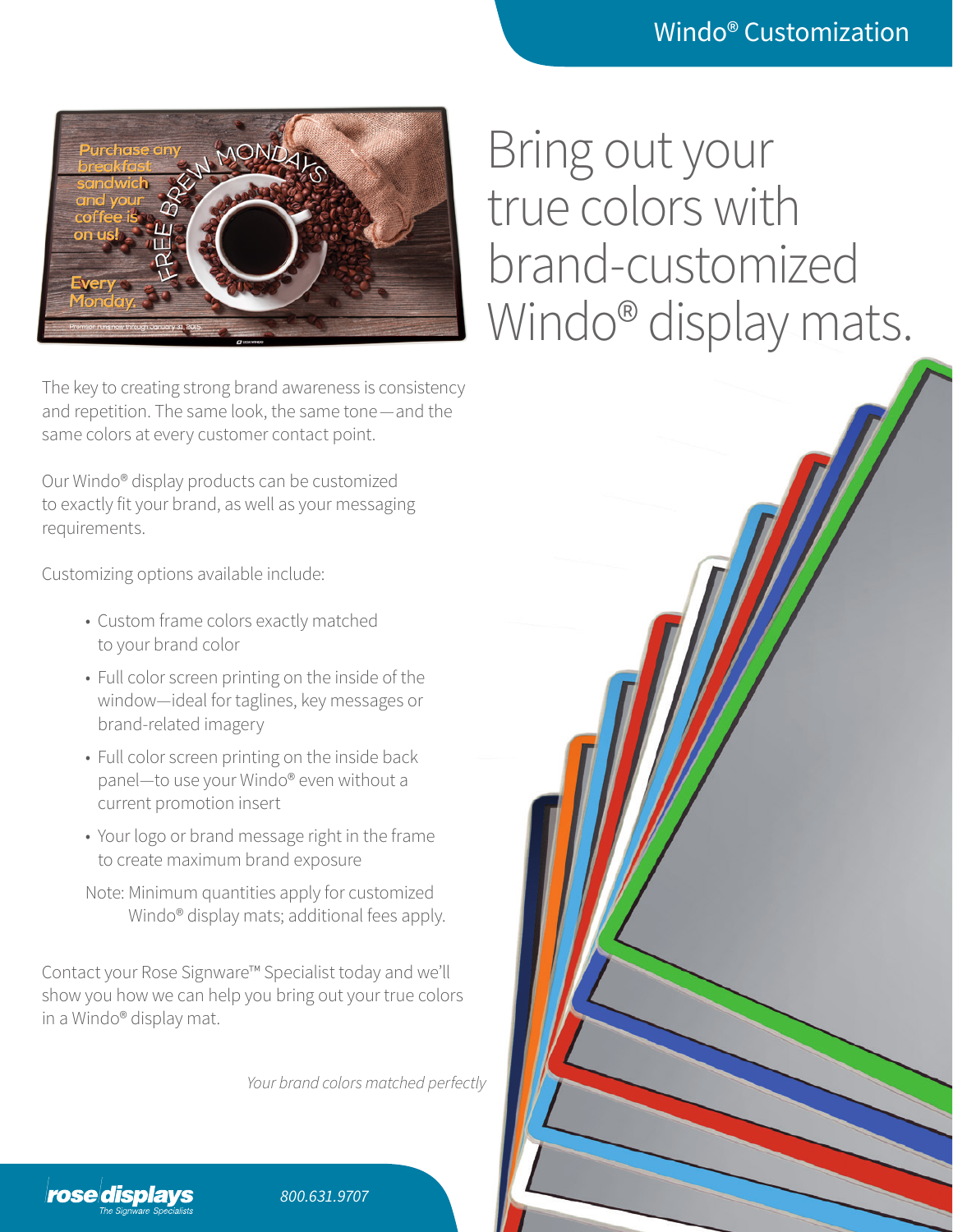

The key to creating strong brand awareness is consistency and repetition. The same look, the same tone—and the same colors at every customer contact point.

Our Windo® display products can be customized to exactly fit your brand, as well as your messaging requirements.

Customizing options available include:

- Custom frame colors exactly matched to your brand color
- Full color screen printing on the inside of the window—ideal for taglines, key messages or brand-related imagery
- Full color screen printing on the inside back panel—to use your Windo® even without a current promotion insert
- Your logo or brand message right in the frame to create maximum brand exposure

Note: Minimum quantities apply for customized Windo® display mats; additional fees apply.

Contact your Rose Signware™ Specialist today and we'll show you how we can help you bring out your true colors in a Windo® display mat.

*Your brand colors matched perfectly*



*800.631.9707*

## Bring out your true colors with brand-customized Windo<sup>®</sup> display mats.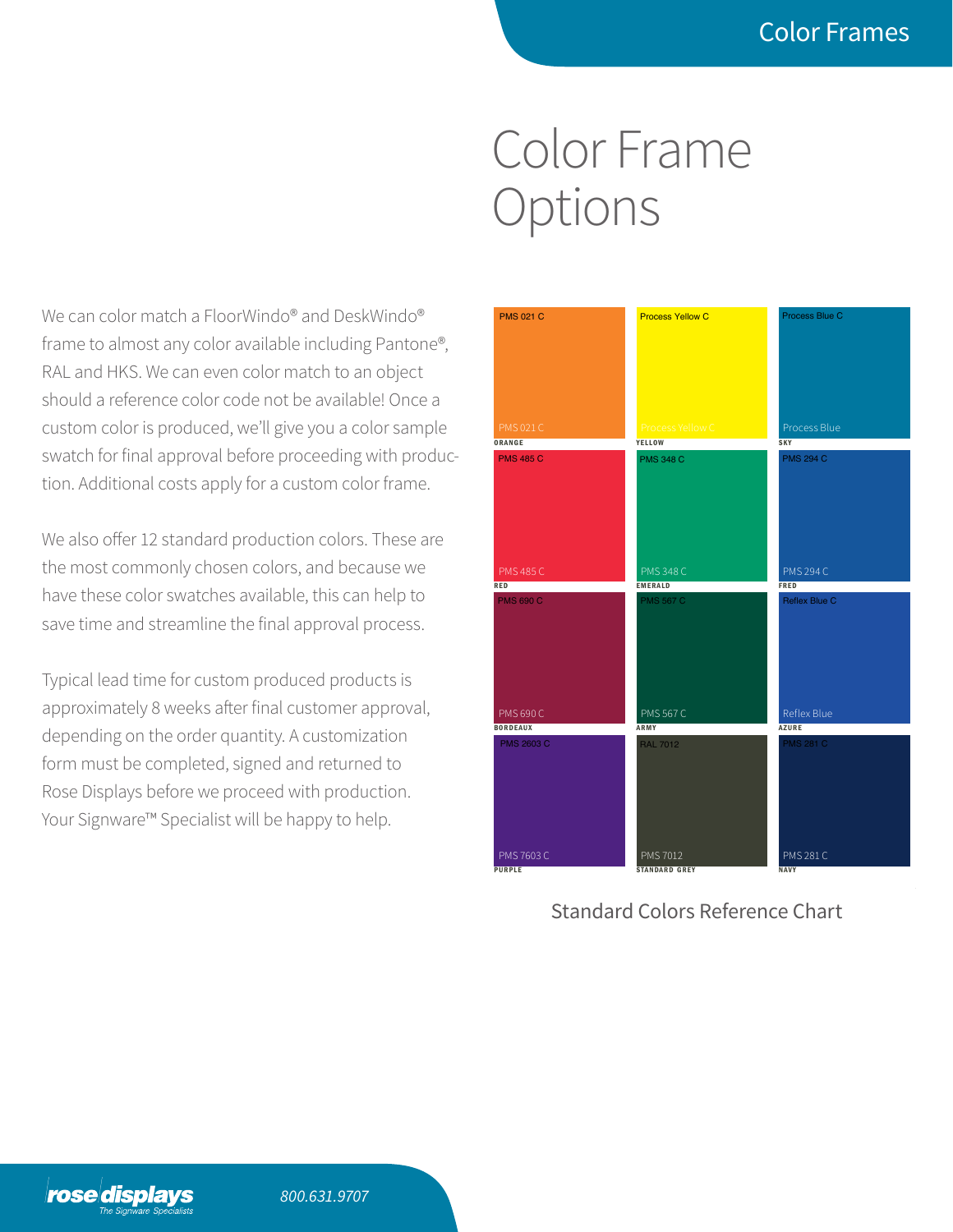## Color Frame Options  $\blacksquare$

We can color match a FloorWindo® and DeskWindo® frame to almost any color available including Pantone®, RAL and HKS. We can even color match to an object should a reference color code not be available! Once a custom color is produced, we'll give you a color sample swatch for final approval before proceeding with production. Additional costs apply for a custom color frame.

We also offer 12 standard production colors. These are the most commonly chosen colors, and because we have these color swatches available, this can help to save time and streamline the final approval process.

Typical lead time for custom produced products is approximately 8 weeks after final customer approval, depending on the order quantity. A customization form must be completed, signed and returned to Rose Displays before we proceed with production. Your Signware™ Specialist will be happy to help.



Standard Colors Reference Chart

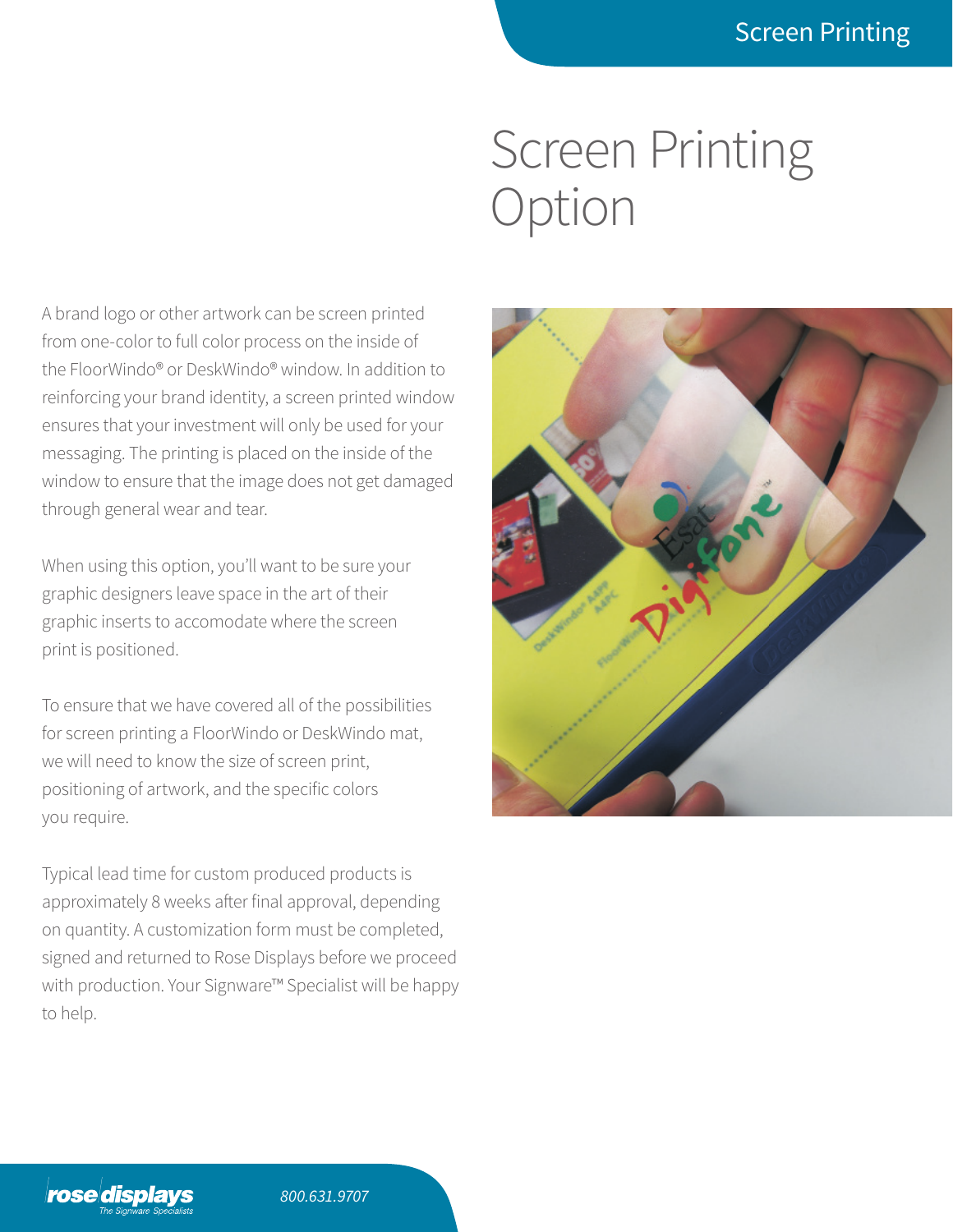## Screen Printing **Option**

A brand logo or other artwork can be screen printed from one-color to full color process on the inside of the FloorWindo® or DeskWindo® window. In addition to reinforcing your brand identity, a screen printed window ensures that your investment will only be used for your messaging. The printing is placed on the inside of the window to ensure that the image does not get damaged through general wear and tear.

When using this option, you'll want to be sure your graphic designers leave space in the art of their graphic inserts to accomodate where the screen print is positioned.

To ensure that we have covered all of the possibilities for screen printing a FloorWindo or DeskWindo mat, we will need to know the size of screen print, positioning of artwork, and the specific colors you require.

Typical lead time for custom produced products is approximately 8 weeks after final approval, depending on quantity. A customization form must be completed, signed and returned to Rose Displays before we proceed with production. Your Signware™ Specialist will be happy to help.